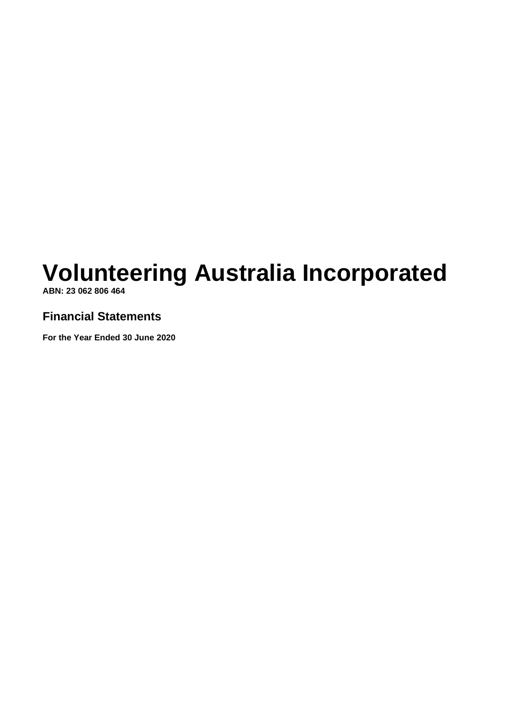**ABN: 23 062 806 464**

# **Financial Statements**

**For the Year Ended 30 June 2020**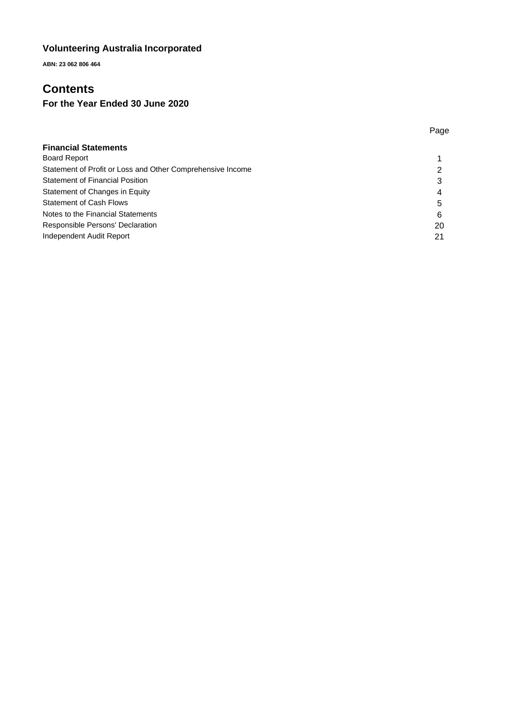**ABN: 23 062 806 464**

# **Contents**

# **For the Year Ended 30 June 2020**

|                                                            | Page |
|------------------------------------------------------------|------|
| <b>Financial Statements</b>                                |      |
| <b>Board Report</b>                                        |      |
| Statement of Profit or Loss and Other Comprehensive Income | ົ    |
| <b>Statement of Financial Position</b>                     | 3    |
| Statement of Changes in Equity                             | 4    |
| <b>Statement of Cash Flows</b>                             | 5    |
| Notes to the Financial Statements                          | 6    |
| Responsible Persons' Declaration                           | 20   |
| Independent Audit Report                                   | 21   |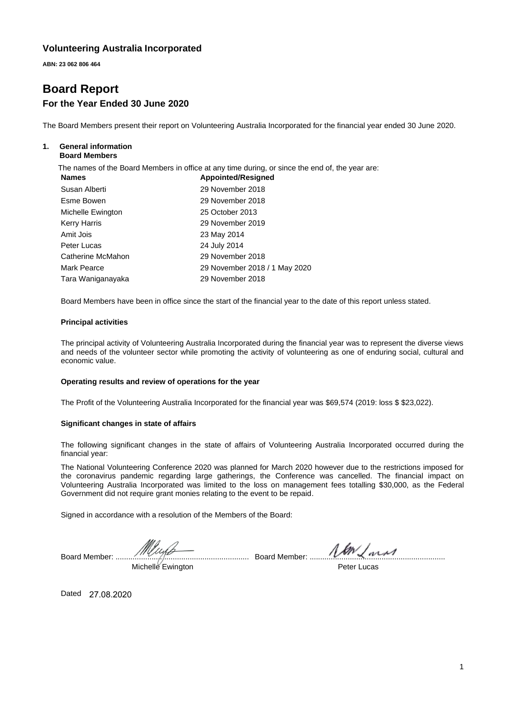**ABN: 23 062 806 464**

# **Board Report For the Year Ended 30 June 2020**

The Board Members present their report on Volunteering Australia Incorporated for the financial year ended 30 June 2020.

#### **1. General information Board Members**

The names of the Board Members in office at any time during, or since the end of, the year are:

| <b>Names</b>      | <b>Appointed/Resigned</b>     |
|-------------------|-------------------------------|
| Susan Alberti     | 29 November 2018              |
| Esme Bowen        | 29 November 2018              |
| Michelle Ewington | 25 October 2013               |
| Kerry Harris      | 29 November 2019              |
| Amit Jois         | 23 May 2014                   |
| Peter Lucas       | 24 July 2014                  |
| Catherine McMahon | 29 November 2018              |
| Mark Pearce       | 29 November 2018 / 1 May 2020 |
| Tara Waniganayaka | 29 November 2018              |

Board Members have been in office since the start of the financial year to the date of this report unless stated.

#### **Principal activities**

The principal activity of Volunteering Australia Incorporated during the financial year was to represent the diverse views and needs of the volunteer sector while promoting the activity of volunteering as one of enduring social, cultural and economic value.

#### **Operating results and review of operations for the year**

The Profit of the Volunteering Australia Incorporated for the financial year was \$69,574 (2019: loss \$ \$23,022).

#### **Significant changes in state of affairs**

The following significant changes in the state of affairs of Volunteering Australia Incorporated occurred during the financial year:

The National Volunteering Conference 2020 was planned for March 2020 however due to the restrictions imposed for the coronavirus pandemic regarding large gatherings, the Conference was cancelled. The financial impact on Volunteering Australia Incorporated was limited to the loss on management fees totalling \$30,000, as the Federal Government did not require grant monies relating to the event to be repaid.

Signed in accordance with a resolution of the Members of the Board:

Board Member: ............................................................... Board Member: ................................................................ Michelle Ewington

Peter Lucas

Dated 27.08.2020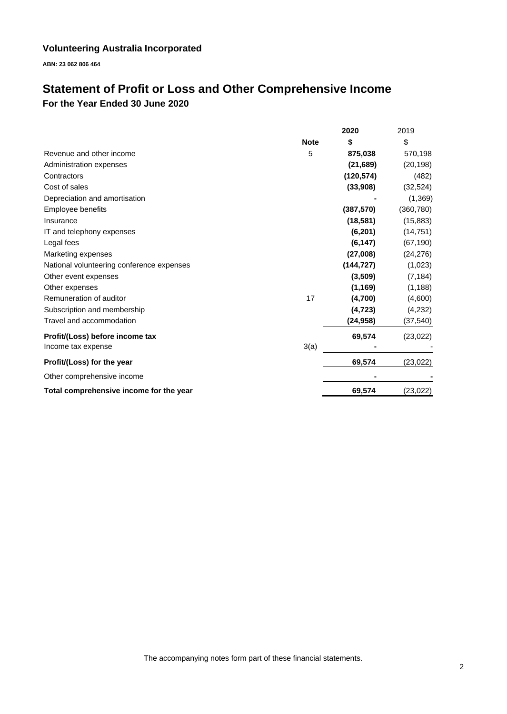**ABN: 23 062 806 464**

# **Statement of Profit or Loss and Other Comprehensive Income For the Year Ended 30 June 2020**

|                                           |             | 2020       | 2019       |
|-------------------------------------------|-------------|------------|------------|
|                                           | <b>Note</b> | \$         | \$         |
| Revenue and other income                  | 5           | 875,038    | 570,198    |
| Administration expenses                   |             | (21,689)   | (20, 198)  |
| Contractors                               |             | (120, 574) | (482)      |
| Cost of sales                             |             | (33,908)   | (32, 524)  |
| Depreciation and amortisation             |             |            | (1,369)    |
| Employee benefits                         |             | (387, 570) | (360, 780) |
| Insurance                                 |             | (18, 581)  | (15, 883)  |
| IT and telephony expenses                 |             | (6, 201)   | (14, 751)  |
| Legal fees                                |             | (6, 147)   | (67, 190)  |
| Marketing expenses                        |             | (27,008)   | (24, 276)  |
| National volunteering conference expenses |             | (144, 727) | (1,023)    |
| Other event expenses                      |             | (3,509)    | (7, 184)   |
| Other expenses                            |             | (1, 169)   | (1, 188)   |
| Remuneration of auditor                   | 17          | (4,700)    | (4,600)    |
| Subscription and membership               |             | (4, 723)   | (4,232)    |
| Travel and accommodation                  |             | (24, 958)  | (37, 540)  |
| Profit/(Loss) before income tax           |             | 69,574     | (23, 022)  |
| Income tax expense                        | 3(a)        |            |            |
| Profit/(Loss) for the year                |             | 69,574     | (23, 022)  |
| Other comprehensive income                |             |            |            |
| Total comprehensive income for the year   |             | 69,574     | (23, 022)  |

The accompanying notes form part of these financial statements.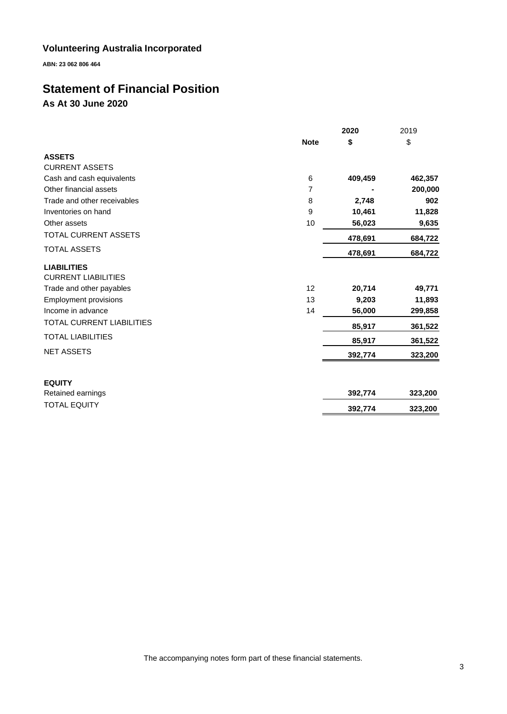**ABN: 23 062 806 464**

# **Statement of Financial Position As At 30 June 2020**

|                              |             | 2020    | 2019    |
|------------------------------|-------------|---------|---------|
|                              | <b>Note</b> | \$      | \$      |
| <b>ASSETS</b>                |             |         |         |
| <b>CURRENT ASSETS</b>        |             |         |         |
| Cash and cash equivalents    | 6           | 409,459 | 462,357 |
| Other financial assets       | 7           |         | 200,000 |
| Trade and other receivables  | 8           | 2,748   | 902     |
| Inventories on hand          | 9           | 10,461  | 11,828  |
| Other assets                 | 10          | 56,023  | 9,635   |
| TOTAL CURRENT ASSETS         |             | 478,691 | 684,722 |
| <b>TOTAL ASSETS</b>          |             | 478,691 | 684,722 |
| <b>LIABILITIES</b>           |             |         |         |
| <b>CURRENT LIABILITIES</b>   |             |         |         |
| Trade and other payables     | 12          | 20,714  | 49,771  |
| <b>Employment provisions</b> | 13          | 9,203   | 11,893  |
| Income in advance            | 14          | 56,000  | 299,858 |
| TOTAL CURRENT LIABILITIES    |             | 85,917  | 361,522 |
| <b>TOTAL LIABILITIES</b>     |             | 85,917  | 361,522 |
| <b>NET ASSETS</b>            |             | 392,774 | 323,200 |
| <b>EQUITY</b>                |             |         |         |
| Retained earnings            |             | 392,774 | 323,200 |
| <b>TOTAL EQUITY</b>          |             | 392,774 | 323,200 |
|                              |             |         |         |

The accompanying notes form part of these financial statements.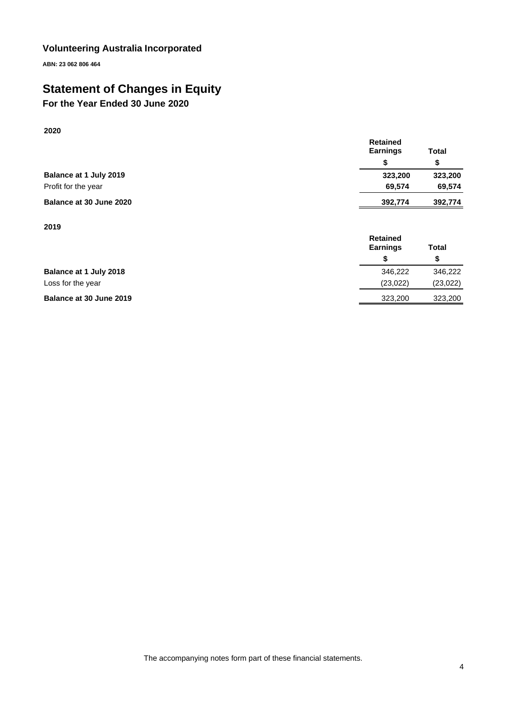**ABN: 23 062 806 464**

# **Statement of Changes in Equity**

# **For the Year Ended 30 June 2020**

|                         | <b>Earnings</b> | <b>Total</b> |
|-------------------------|-----------------|--------------|
|                         |                 |              |
| Balance at 1 July 2019  | 323.200         | 323,200      |
| Profit for the year     | 69.574          | 69.574       |
| Balance at 30 June 2020 | 392,774         | 392,774      |

**Retained** 

**2019**

**2020**

|                         | <b>Retained</b><br><b>Earnings</b> | <b>Total</b> |
|-------------------------|------------------------------------|--------------|
|                         |                                    | S            |
| Balance at 1 July 2018  | 346.222                            | 346,222      |
| Loss for the year       | (23,022)                           | (23, 022)    |
| Balance at 30 June 2019 | 323,200                            | 323,200      |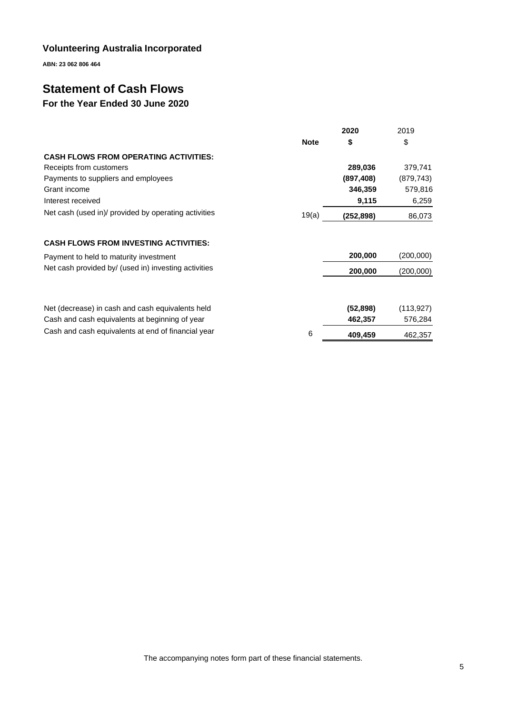**ABN: 23 062 806 464**

# **Statement of Cash Flows**

# **For the Year Ended 30 June 2020**

|                                                      |             | 2020       | 2019       |
|------------------------------------------------------|-------------|------------|------------|
|                                                      | <b>Note</b> | \$         | \$         |
| <b>CASH FLOWS FROM OPERATING ACTIVITIES:</b>         |             |            |            |
| Receipts from customers                              |             | 289,036    | 379,741    |
| Payments to suppliers and employees                  |             | (897, 408) | (879, 743) |
| Grant income                                         |             | 346,359    | 579,816    |
| Interest received                                    |             | 9,115      | 6,259      |
| Net cash (used in)/ provided by operating activities | 19(a)       | (252,898)  | 86,073     |
| <b>CASH FLOWS FROM INVESTING ACTIVITIES:</b>         |             |            |            |
| Payment to held to maturity investment               |             | 200,000    | (200,000)  |
| Net cash provided by/ (used in) investing activities |             | 200,000    | (200,000)  |
|                                                      |             |            |            |
| Net (decrease) in cash and cash equivalents held     |             | (52, 898)  | (113, 927) |
| Cash and cash equivalents at beginning of year       |             | 462,357    | 576,284    |
| Cash and cash equivalents at end of financial year   | 6           | 409,459    | 462,357    |

The accompanying notes form part of these financial statements.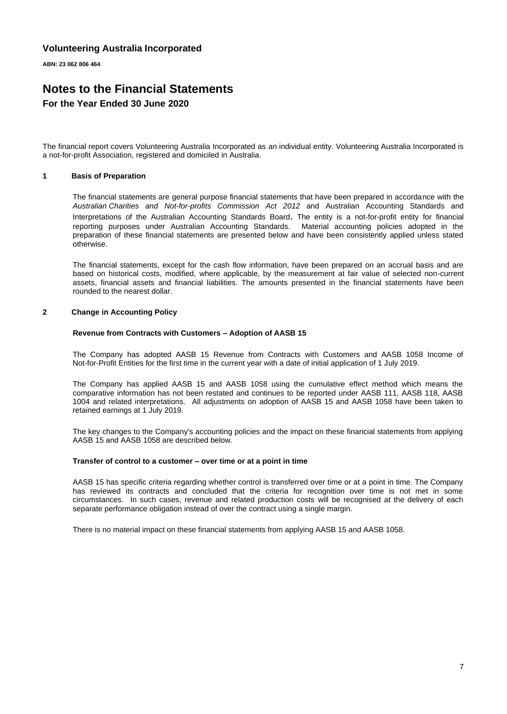**ABN: 23 062 806 464**

# **Notes to the Financial Statements For the Year Ended 30 June 2020**

The financial report covers Volunteering Australia Incorporated as an individual entity. Volunteering Australia Incorporated is a not-for-profit Association, registered and domiciled in Australia.

#### **1 Basis of Preparation**

The financial statements are general purpose financial statements that have been prepared in accordance with the *Australian Charities and Not-for-profits Commission Act 2012* and Australian Accounting Standards and Interpretations of the Australian Accounting Standards Board. The entity is a not-for-profit entity for financial reporting purposes under Australian Accounting Standards. Material accounting policies adopted in the preparation of these financial statements are presented below and have been consistently applied unless stated otherwise.

The financial statements, except for the cash flow information, have been prepared on an accrual basis and are based on historical costs, modified, where applicable, by the measurement at fair value of selected non-current assets, financial assets and financial liabilities. The amounts presented in the financial statements have been rounded to the nearest dollar.

#### **2 Change in Accounting Policy**

#### **Revenue from Contracts with Customers – Adoption of AASB 15**

The Company has adopted AASB 15 Revenue from Contracts with Customers and AASB 1058 Income of Not-for-Profit Entities for the first time in the current year with a date of initial application of 1 July 2019.

The Company has applied AASB 15 and AASB 1058 using the cumulative effect method which means the comparative information has not been restated and continues to be reported under AASB 111, AASB 118, AASB 1004 and related interpretations. All adjustments on adoption of AASB 15 and AASB 1058 have been taken to retained earnings at 1 July 2019.

The key changes to the Company's accounting policies and the impact on these financial statements from applying AASB 15 and AASB 1058 are described below.

#### **Transfer of control to a customer – over time or at a point in time**

AASB 15 has specific criteria regarding whether control is transferred over time or at a point in time. The Company has reviewed its contracts and concluded that the criteria for recognition over time is not met in some circumstances. In such cases, revenue and related production costs will be recognised at the delivery of each separate performance obligation instead of over the contract using a single margin.

There is no material impact on these financial statements from applying AASB 15 and AASB 1058.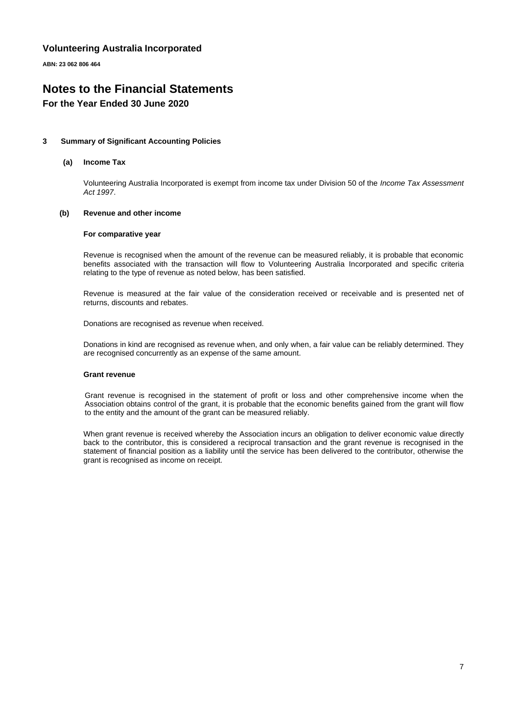**ABN: 23 062 806 464**

# **Notes to the Financial Statements**

### **For the Year Ended 30 June 2020**

#### **3 Summary of Significant Accounting Policies**

#### **(a) Income Tax**

Volunteering Australia Incorporated is exempt from income tax under Division 50 of the *Income Tax Assessment Act 1997*.

#### **(b) Revenue and other income**

#### **For comparative year**

Revenue is recognised when the amount of the revenue can be measured reliably, it is probable that economic benefits associated with the transaction will flow to Volunteering Australia Incorporated and specific criteria relating to the type of revenue as noted below, has been satisfied.

Revenue is measured at the fair value of the consideration received or receivable and is presented net of returns, discounts and rebates.

Donations are recognised as revenue when received.

Donations in kind are recognised as revenue when, and only when, a fair value can be reliably determined. They are recognised concurrently as an expense of the same amount.

#### **Grant revenue**

Grant revenue is recognised in the statement of profit or loss and other comprehensive income when the Association obtains control of the grant, it is probable that the economic benefits gained from the grant will flow to the entity and the amount of the grant can be measured reliably.

When grant revenue is received whereby the Association incurs an obligation to deliver economic value directly back to the contributor, this is considered a reciprocal transaction and the grant revenue is recognised in the statement of financial position as a liability until the service has been delivered to the contributor, otherwise the grant is recognised as income on receipt.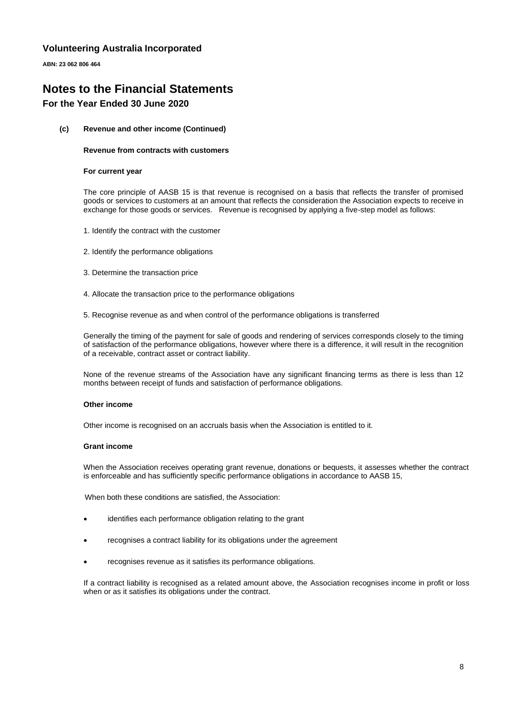**ABN: 23 062 806 464**

### **Notes to the Financial Statements For the Year Ended 30 June 2020**

#### **(c) Revenue and other income (Continued)**

#### **Revenue from contracts with customers**

#### **For current year**

The core principle of AASB 15 is that revenue is recognised on a basis that reflects the transfer of promised goods or services to customers at an amount that reflects the consideration the Association expects to receive in exchange for those goods or services. Revenue is recognised by applying a five-step model as follows:

- 1. Identify the contract with the customer
- 2. Identify the performance obligations
- 3. Determine the transaction price
- 4. Allocate the transaction price to the performance obligations
- 5. Recognise revenue as and when control of the performance obligations is transferred

Generally the timing of the payment for sale of goods and rendering of services corresponds closely to the timing of satisfaction of the performance obligations, however where there is a difference, it will result in the recognition of a receivable, contract asset or contract liability.

None of the revenue streams of the Association have any significant financing terms as there is less than 12 months between receipt of funds and satisfaction of performance obligations.

#### **Other income**

Other income is recognised on an accruals basis when the Association is entitled to it.

#### **Grant income**

When the Association receives operating grant revenue, donations or bequests, it assesses whether the contract is enforceable and has sufficiently specific performance obligations in accordance to AASB 15,

When both these conditions are satisfied, the Association:

- identifies each performance obligation relating to the grant
- recognises a contract liability for its obligations under the agreement
- recognises revenue as it satisfies its performance obligations.

If a contract liability is recognised as a related amount above, the Association recognises income in profit or loss when or as it satisfies its obligations under the contract.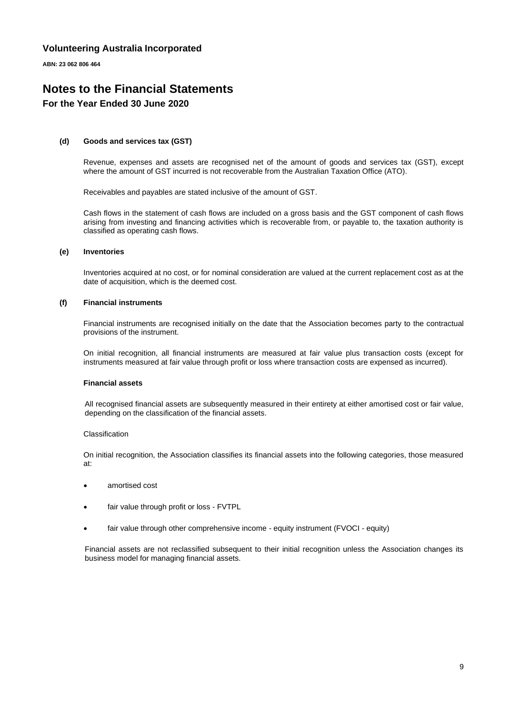**ABN: 23 062 806 464**

### **Notes to the Financial Statements For the Year Ended 30 June 2020**

#### **(d) Goods and services tax (GST)**

Revenue, expenses and assets are recognised net of the amount of goods and services tax (GST), except where the amount of GST incurred is not recoverable from the Australian Taxation Office (ATO).

Receivables and payables are stated inclusive of the amount of GST.

Cash flows in the statement of cash flows are included on a gross basis and the GST component of cash flows arising from investing and financing activities which is recoverable from, or payable to, the taxation authority is classified as operating cash flows.

#### **(e) Inventories**

Inventories acquired at no cost, or for nominal consideration are valued at the current replacement cost as at the date of acquisition, which is the deemed cost.

#### **(f) Financial instruments**

Financial instruments are recognised initially on the date that the Association becomes party to the contractual provisions of the instrument.

On initial recognition, all financial instruments are measured at fair value plus transaction costs (except for instruments measured at fair value through profit or loss where transaction costs are expensed as incurred).

#### **Financial assets**

All recognised financial assets are subsequently measured in their entirety at either amortised cost or fair value, depending on the classification of the financial assets.

#### Classification

On initial recognition, the Association classifies its financial assets into the following categories, those measured at:

- amortised cost
- fair value through profit or loss FVTPL
- fair value through other comprehensive income equity instrument (FVOCI equity)

Financial assets are not reclassified subsequent to their initial recognition unless the Association changes its business model for managing financial assets.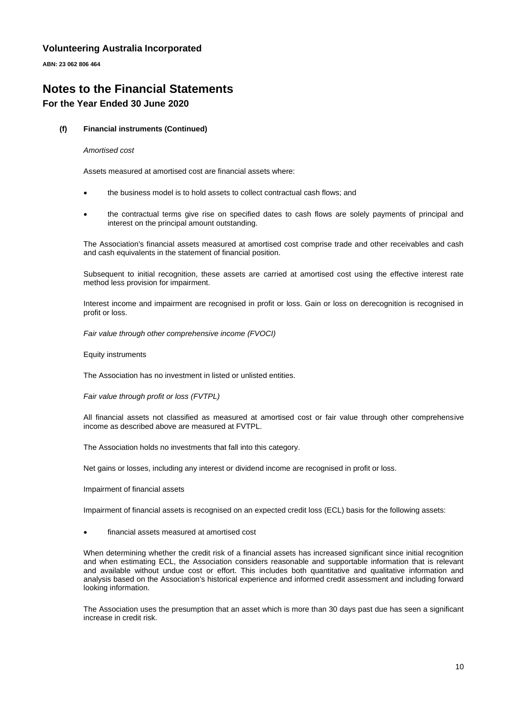**ABN: 23 062 806 464**

# **Notes to the Financial Statements For the Year Ended 30 June 2020**

#### **(f) Financial instruments (Continued)**

#### *Amortised cost*

Assets measured at amortised cost are financial assets where:

- the business model is to hold assets to collect contractual cash flows; and
- the contractual terms give rise on specified dates to cash flows are solely payments of principal and interest on the principal amount outstanding.

The Association's financial assets measured at amortised cost comprise trade and other receivables and cash and cash equivalents in the statement of financial position.

Subsequent to initial recognition, these assets are carried at amortised cost using the effective interest rate method less provision for impairment.

Interest income and impairment are recognised in profit or loss. Gain or loss on derecognition is recognised in profit or loss.

*Fair value through other comprehensive income (FVOCI)*

Equity instruments

The Association has no investment in listed or unlisted entities.

*Fair value through profit or loss (FVTPL)*

All financial assets not classified as measured at amortised cost or fair value through other comprehensive income as described above are measured at FVTPL.

The Association holds no investments that fall into this category.

Net gains or losses, including any interest or dividend income are recognised in profit or loss.

Impairment of financial assets

Impairment of financial assets is recognised on an expected credit loss (ECL) basis for the following assets:

• financial assets measured at amortised cost

When determining whether the credit risk of a financial assets has increased significant since initial recognition and when estimating ECL, the Association considers reasonable and supportable information that is relevant and available without undue cost or effort. This includes both quantitative and qualitative information and analysis based on the Association's historical experience and informed credit assessment and including forward looking information.

The Association uses the presumption that an asset which is more than 30 days past due has seen a significant increase in credit risk.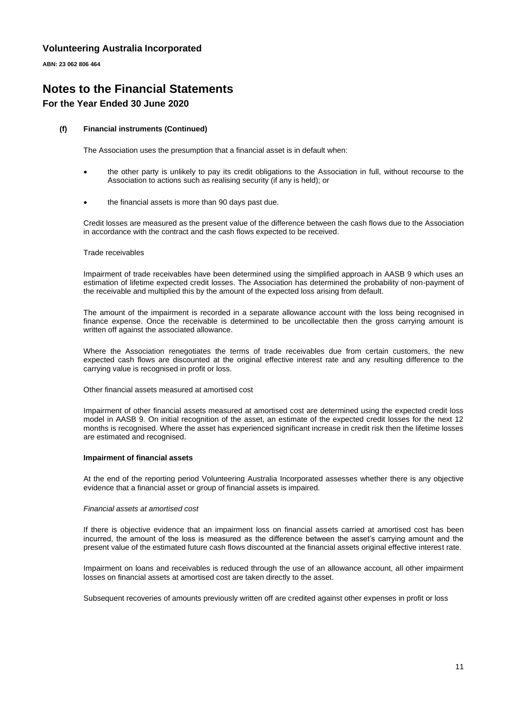**ABN: 23 062 806 464**

# **Notes to the Financial Statements For the Year Ended 30 June 2020**

#### **(f) Financial instruments (Continued)**

The Association uses the presumption that a financial asset is in default when:

- the other party is unlikely to pay its credit obligations to the Association in full, without recourse to the Association to actions such as realising security (if any is held); or
- the financial assets is more than 90 days past due.

Credit losses are measured as the present value of the difference between the cash flows due to the Association in accordance with the contract and the cash flows expected to be received.

#### Trade receivables

Impairment of trade receivables have been determined using the simplified approach in AASB 9 which uses an estimation of lifetime expected credit losses. The Association has determined the probability of non-payment of the receivable and multiplied this by the amount of the expected loss arising from default.

The amount of the impairment is recorded in a separate allowance account with the loss being recognised in finance expense. Once the receivable is determined to be uncollectable then the gross carrying amount is written off against the associated allowance.

Where the Association renegotiates the terms of trade receivables due from certain customers, the new expected cash flows are discounted at the original effective interest rate and any resulting difference to the carrying value is recognised in profit or loss.

Other financial assets measured at amortised cost

Impairment of other financial assets measured at amortised cost are determined using the expected credit loss model in AASB 9. On initial recognition of the asset, an estimate of the expected credit losses for the next 12 months is recognised. Where the asset has experienced significant increase in credit risk then the lifetime losses are estimated and recognised.

#### **Impairment of financial assets**

At the end of the reporting period Volunteering Australia Incorporated assesses whether there is any objective evidence that a financial asset or group of financial assets is impaired.

#### *Financial assets at amortised cost*

If there is objective evidence that an impairment loss on financial assets carried at amortised cost has been incurred, the amount of the loss is measured as the difference between the asset's carrying amount and the present value of the estimated future cash flows discounted at the financial assets original effective interest rate.

Impairment on loans and receivables is reduced through the use of an allowance account, all other impairment losses on financial assets at amortised cost are taken directly to the asset.

Subsequent recoveries of amounts previously written off are credited against other expenses in profit or loss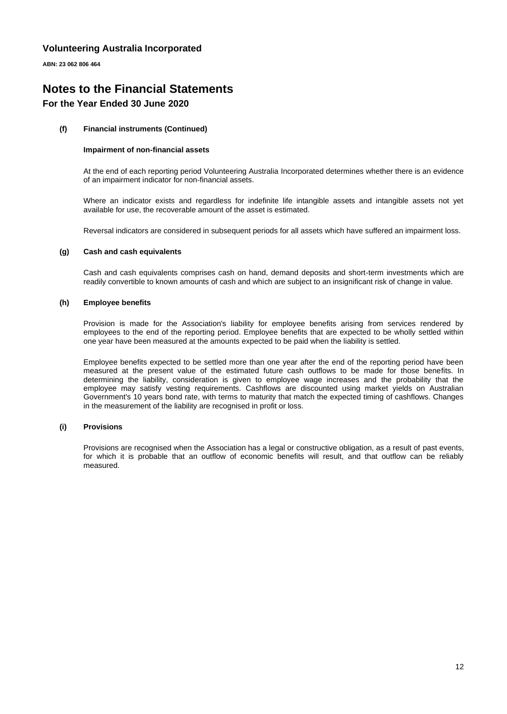**ABN: 23 062 806 464**

## **Notes to the Financial Statements For the Year Ended 30 June 2020**

#### **(f) Financial instruments (Continued)**

#### **Impairment of non-financial assets**

At the end of each reporting period Volunteering Australia Incorporated determines whether there is an evidence of an impairment indicator for non-financial assets.

Where an indicator exists and regardless for indefinite life intangible assets and intangible assets not yet available for use, the recoverable amount of the asset is estimated.

Reversal indicators are considered in subsequent periods for all assets which have suffered an impairment loss.

#### **(g) Cash and cash equivalents**

Cash and cash equivalents comprises cash on hand, demand deposits and short-term investments which are readily convertible to known amounts of cash and which are subject to an insignificant risk of change in value.

#### **(h) Employee benefits**

Provision is made for the Association's liability for employee benefits arising from services rendered by employees to the end of the reporting period. Employee benefits that are expected to be wholly settled within one year have been measured at the amounts expected to be paid when the liability is settled.

Employee benefits expected to be settled more than one year after the end of the reporting period have been measured at the present value of the estimated future cash outflows to be made for those benefits. In determining the liability, consideration is given to employee wage increases and the probability that the employee may satisfy vesting requirements. Cashflows are discounted using market yields on Australian Government's 10 years bond rate, with terms to maturity that match the expected timing of cashflows. Changes in the measurement of the liability are recognised in profit or loss.

#### **(i) Provisions**

Provisions are recognised when the Association has a legal or constructive obligation, as a result of past events, for which it is probable that an outflow of economic benefits will result, and that outflow can be reliably measured.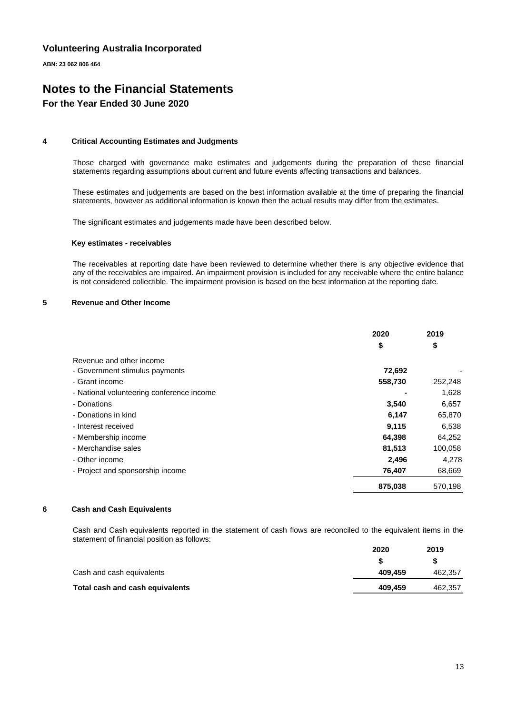**ABN: 23 062 806 464**

# **Notes to the Financial Statements For the Year Ended 30 June 2020**

#### **4 Critical Accounting Estimates and Judgments**

Those charged with governance make estimates and judgements during the preparation of these financial statements regarding assumptions about current and future events affecting transactions and balances.

These estimates and judgements are based on the best information available at the time of preparing the financial statements, however as additional information is known then the actual results may differ from the estimates.

The significant estimates and judgements made have been described below.

#### **Key estimates - receivables**

The receivables at reporting date have been reviewed to determine whether there is any objective evidence that any of the receivables are impaired. An impairment provision is included for any receivable where the entire balance is not considered collectible. The impairment provision is based on the best information at the reporting date.

#### **5 Revenue and Other Income**

|                                           | 2020    | 2019    |
|-------------------------------------------|---------|---------|
|                                           | \$      | \$      |
| Revenue and other income                  |         |         |
| - Government stimulus payments            | 72,692  |         |
| - Grant income                            | 558,730 | 252,248 |
| - National volunteering conference income |         | 1,628   |
| - Donations                               | 3,540   | 6,657   |
| - Donations in kind                       | 6,147   | 65,870  |
| - Interest received                       | 9,115   | 6,538   |
| - Membership income                       | 64,398  | 64,252  |
| - Merchandise sales                       | 81,513  | 100,058 |
| - Other income                            | 2,496   | 4,278   |
| - Project and sponsorship income          | 76,407  | 68,669  |
|                                           | 875,038 | 570,198 |

#### **6 Cash and Cash Equivalents**

Cash and Cash equivalents reported in the statement of cash flows are reconciled to the equivalent items in the statement of financial position as follows:

|                                 | 2020    | 2019    |
|---------------------------------|---------|---------|
|                                 |         |         |
| Cash and cash equivalents       | 409.459 | 462,357 |
| Total cash and cash equivalents | 409.459 | 462,357 |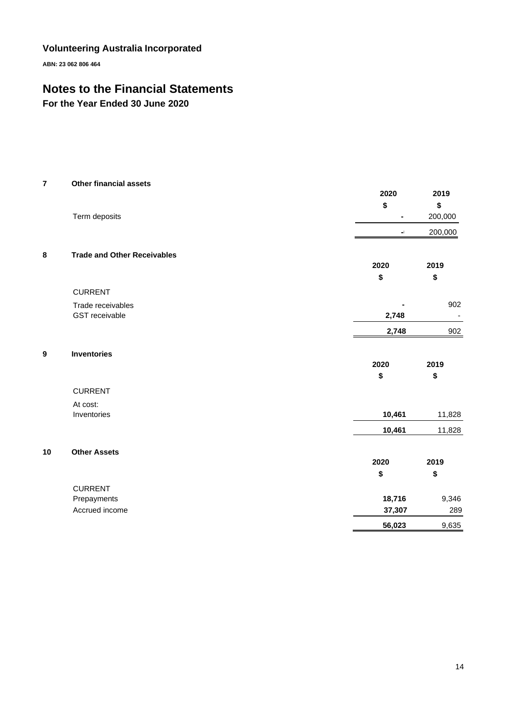**ABN: 23 062 806 464**

# **Notes to the Financial Statements**

**For the Year Ended 30 June 2020**

| $\bf 7$          | <b>Other financial assets</b>      |                |                          |
|------------------|------------------------------------|----------------|--------------------------|
|                  |                                    | 2020           | 2019                     |
|                  |                                    | \$             | \$                       |
|                  | Term deposits                      | $\blacksquare$ | 200,000                  |
|                  |                                    | $\blacksquare$ | 200,000                  |
| 8                | <b>Trade and Other Receivables</b> |                |                          |
|                  |                                    | 2020           | 2019                     |
|                  |                                    | \$             | \$                       |
|                  | <b>CURRENT</b>                     |                |                          |
|                  | Trade receivables                  |                | 902                      |
|                  | GST receivable                     | 2,748          | $\overline{\phantom{a}}$ |
|                  |                                    | 2,748          | 902                      |
| $\boldsymbol{9}$ | <b>Inventories</b>                 |                |                          |
|                  |                                    | 2020           | 2019                     |
|                  |                                    | \$             | \$                       |
|                  | <b>CURRENT</b>                     |                |                          |
|                  | At cost:                           |                |                          |
|                  | Inventories                        | 10,461         | 11,828                   |
|                  |                                    | 10,461         | 11,828                   |
| 10               | <b>Other Assets</b>                |                |                          |
|                  |                                    | 2020           | 2019                     |
|                  |                                    | \$             | \$                       |
|                  | <b>CURRENT</b>                     |                |                          |
|                  | Prepayments                        | 18,716         | 9,346                    |
|                  | Accrued income                     | 37,307         | 289                      |
|                  |                                    | 56,023         | 9,635                    |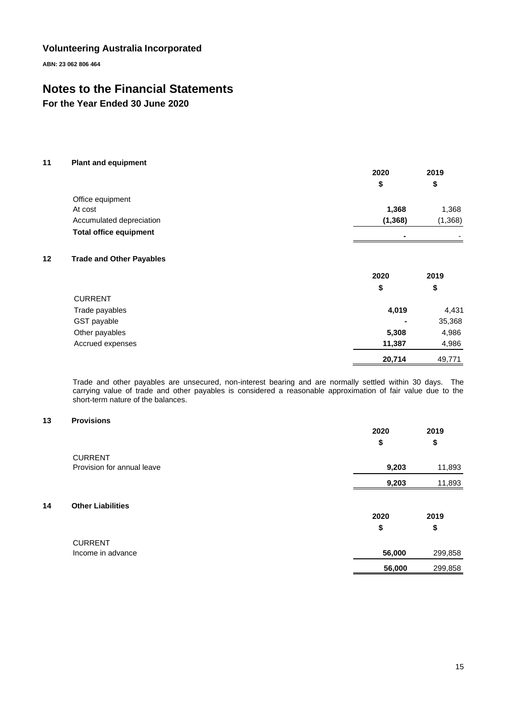**ABN: 23 062 806 464**

# **Notes to the Financial Statements**

**For the Year Ended 30 June 2020**

#### **11 Plant and equipment**

|                               | 2020     | 2019                     |  |
|-------------------------------|----------|--------------------------|--|
|                               |          | \$                       |  |
| Office equipment              |          |                          |  |
| At cost                       | 1,368    | 1,368                    |  |
| Accumulated depreciation      | (1, 368) | (1,368)                  |  |
| <b>Total office equipment</b> |          | $\overline{\phantom{0}}$ |  |

#### **12 Trade and Other Payables**

|                  | 2020           | 2019   |
|------------------|----------------|--------|
|                  | \$             | \$     |
| <b>CURRENT</b>   |                |        |
| Trade payables   | 4,019          | 4,431  |
| GST payable      | $\blacksquare$ | 35,368 |
| Other payables   | 5,308          | 4,986  |
| Accrued expenses | 11,387         | 4,986  |
|                  | 20,714         | 49,771 |

Trade and other payables are unsecured, non-interest bearing and are normally settled within 30 days. The carrying value of trade and other payables is considered a reasonable approximation of fair value due to the short-term nature of the balances.

### **13 Provisions**

|    |                            | 2020<br>\$ | 2019<br>\$ |
|----|----------------------------|------------|------------|
|    | <b>CURRENT</b>             |            |            |
|    | Provision for annual leave | 9,203      | 11,893     |
|    |                            | 9,203      | 11,893     |
| 14 | <b>Other Liabilities</b>   | 2020       | 2019       |
|    |                            | \$         | \$         |
|    | <b>CURRENT</b>             |            |            |
|    | Income in advance          | 56,000     | 299,858    |
|    |                            | 56,000     | 299,858    |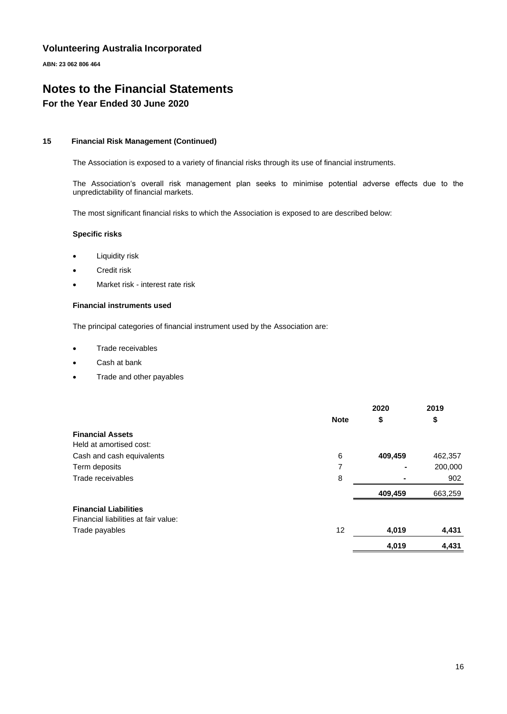**ABN: 23 062 806 464**

# **Notes to the Financial Statements For the Year Ended 30 June 2020**

#### **15 Financial Risk Management (Continued)**

The Association is exposed to a variety of financial risks through its use of financial instruments.

The Association's overall risk management plan seeks to minimise potential adverse effects due to the unpredictability of financial markets.

The most significant financial risks to which the Association is exposed to are described below:

#### **Specific risks**

- Liquidity risk
- Credit risk
- Market risk interest rate risk

#### **Financial instruments used**

The principal categories of financial instrument used by the Association are:

- Trade receivables
- Cash at bank
- Trade and other payables

|                                                                      |             | 2020    | 2019    |
|----------------------------------------------------------------------|-------------|---------|---------|
|                                                                      | <b>Note</b> | \$      | \$      |
| <b>Financial Assets</b><br>Held at amortised cost:                   |             |         |         |
| Cash and cash equivalents                                            | 6           | 409,459 | 462,357 |
| Term deposits                                                        | 7           |         | 200,000 |
| Trade receivables                                                    | 8           |         | 902     |
|                                                                      |             | 409,459 | 663,259 |
| <b>Financial Liabilities</b><br>Financial liabilities at fair value: |             |         |         |
| Trade payables                                                       | 12          | 4,019   | 4,431   |
|                                                                      |             | 4,019   | 4,431   |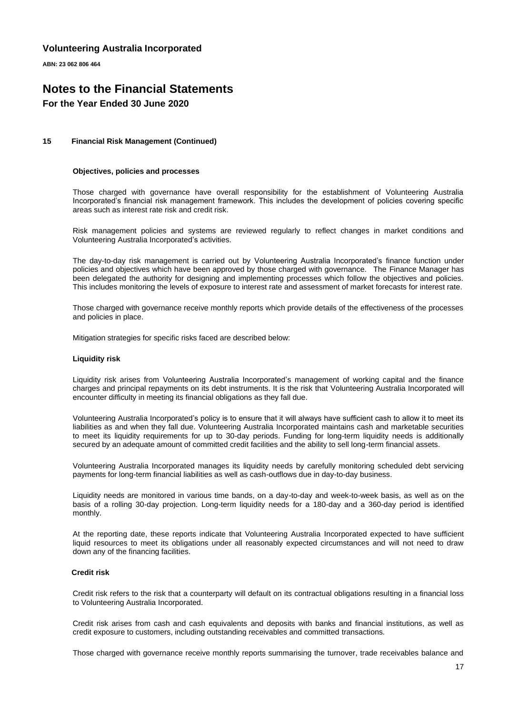**ABN: 23 062 806 464**

### **Notes to the Financial Statements For the Year Ended 30 June 2020**

#### **15 Financial Risk Management (Continued)**

#### **Objectives, policies and processes**

Those charged with governance have overall responsibility for the establishment of Volunteering Australia Incorporated's financial risk management framework. This includes the development of policies covering specific areas such as interest rate risk and credit risk.

Risk management policies and systems are reviewed regularly to reflect changes in market conditions and Volunteering Australia Incorporated's activities.

The day-to-day risk management is carried out by Volunteering Australia Incorporated's finance function under policies and objectives which have been approved by those charged with governance. The Finance Manager has been delegated the authority for designing and implementing processes which follow the objectives and policies. This includes monitoring the levels of exposure to interest rate and assessment of market forecasts for interest rate.

Those charged with governance receive monthly reports which provide details of the effectiveness of the processes and policies in place.

Mitigation strategies for specific risks faced are described below:

#### **Liquidity risk**

Liquidity risk arises from Volunteering Australia Incorporated's management of working capital and the finance charges and principal repayments on its debt instruments. It is the risk that Volunteering Australia Incorporated will encounter difficulty in meeting its financial obligations as they fall due.

Volunteering Australia Incorporated's policy is to ensure that it will always have sufficient cash to allow it to meet its liabilities as and when they fall due. Volunteering Australia Incorporated maintains cash and marketable securities to meet its liquidity requirements for up to 30-day periods. Funding for long-term liquidity needs is additionally secured by an adequate amount of committed credit facilities and the ability to sell long-term financial assets.

Volunteering Australia Incorporated manages its liquidity needs by carefully monitoring scheduled debt servicing payments for long-term financial liabilities as well as cash-outflows due in day-to-day business.

Liquidity needs are monitored in various time bands, on a day-to-day and week-to-week basis, as well as on the basis of a rolling 30-day projection. Long-term liquidity needs for a 180-day and a 360-day period is identified monthly.

At the reporting date, these reports indicate that Volunteering Australia Incorporated expected to have sufficient liquid resources to meet its obligations under all reasonably expected circumstances and will not need to draw down any of the financing facilities.

#### **Credit risk**

Credit risk refers to the risk that a counterparty will default on its contractual obligations resulting in a financial loss to Volunteering Australia Incorporated.

Credit risk arises from cash and cash equivalents and deposits with banks and financial institutions, as well as credit exposure to customers, including outstanding receivables and committed transactions.

Those charged with governance receive monthly reports summarising the turnover, trade receivables balance and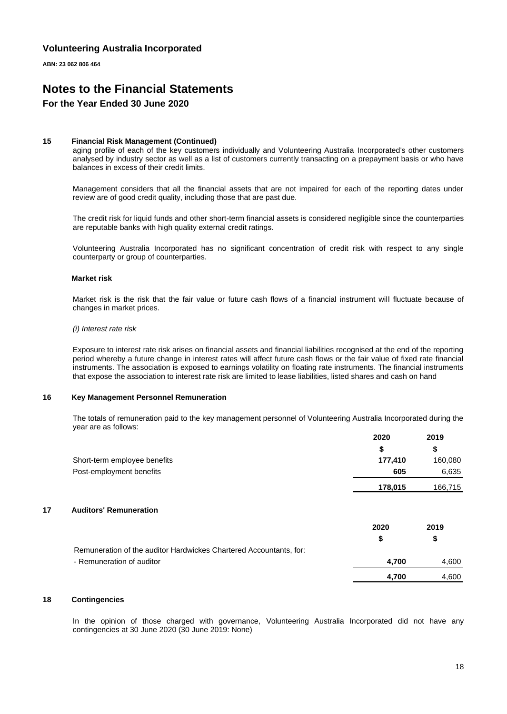**ABN: 23 062 806 464**

### **Notes to the Financial Statements For the Year Ended 30 June 2020**

#### **15 Financial Risk Management (Continued)**

aging profile of each of the key customers individually and Volunteering Australia Incorporated's other customers analysed by industry sector as well as a list of customers currently transacting on a prepayment basis or who have balances in excess of their credit limits.

Management considers that all the financial assets that are not impaired for each of the reporting dates under review are of good credit quality, including those that are past due.

The credit risk for liquid funds and other short-term financial assets is considered negligible since the counterparties are reputable banks with high quality external credit ratings.

Volunteering Australia Incorporated has no significant concentration of credit risk with respect to any single counterparty or group of counterparties.

#### **Market risk**

Market risk is the risk that the fair value or future cash flows of a financial instrument will fluctuate because of changes in market prices.

#### *(i) Interest rate risk*

Exposure to interest rate risk arises on financial assets and financial liabilities recognised at the end of the reporting period whereby a future change in interest rates will affect future cash flows or the fair value of fixed rate financial instruments. The association is exposed to earnings volatility on floating rate instruments. The financial instruments that expose the association to interest rate risk are limited to lease liabilities, listed shares and cash on hand

#### **16 Key Management Personnel Remuneration**

The totals of remuneration paid to the key management personnel of Volunteering Australia Incorporated during the year are as follows:

|    |                                                                    | 2020    | 2019    |
|----|--------------------------------------------------------------------|---------|---------|
|    |                                                                    | \$      | \$      |
|    | Short-term employee benefits                                       | 177,410 | 160,080 |
|    | Post-employment benefits                                           | 605     | 6,635   |
|    |                                                                    | 178,015 | 166,715 |
| 17 | <b>Auditors' Remuneration</b>                                      |         |         |
|    |                                                                    | 2020    | 2019    |
|    |                                                                    | \$      | \$      |
|    | Remuneration of the auditor Hardwickes Chartered Accountants, for: |         |         |
|    | - Remuneration of auditor                                          | 4,700   | 4,600   |
|    |                                                                    | 4,700   | 4,600   |

#### **18 Contingencies**

In the opinion of those charged with governance, Volunteering Australia Incorporated did not have any contingencies at 30 June 2020 (30 June 2019: None)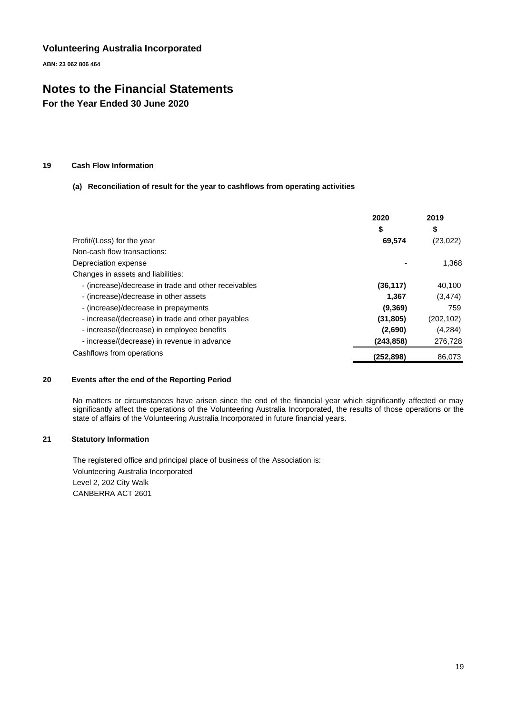**ABN: 23 062 806 464**

# **Notes to the Financial Statements**

**For the Year Ended 30 June 2020**

#### **19 Cash Flow Information**

#### **(a) Reconciliation of result for the year to cashflows from operating activities**

|                                                      | 2020<br>\$ | 2019<br>\$ |
|------------------------------------------------------|------------|------------|
| Profit/(Loss) for the year                           | 69,574     | (23, 022)  |
| Non-cash flow transactions:                          |            |            |
| Depreciation expense                                 |            | 1,368      |
| Changes in assets and liabilities:                   |            |            |
| - (increase)/decrease in trade and other receivables | (36, 117)  | 40,100     |
| - (increase)/decrease in other assets                | 1,367      | (3, 474)   |
| - (increase)/decrease in prepayments                 | (9,369)    | 759        |
| - increase/(decrease) in trade and other payables    | (31, 805)  | (202, 102) |
| - increase/(decrease) in employee benefits           | (2,690)    | (4,284)    |
| - increase/(decrease) in revenue in advance          | (243, 858) | 276,728    |
| Cashflows from operations                            | (252,898)  | 86,073     |

#### **20 Events after the end of the Reporting Period**

No matters or circumstances have arisen since the end of the financial year which significantly affected or may significantly affect the operations of the Volunteering Australia Incorporated, the results of those operations or the state of affairs of the Volunteering Australia Incorporated in future financial years.

#### **21 Statutory Information**

The registered office and principal place of business of the Association is: Volunteering Australia Incorporated Level 2, 202 City Walk CANBERRA ACT 2601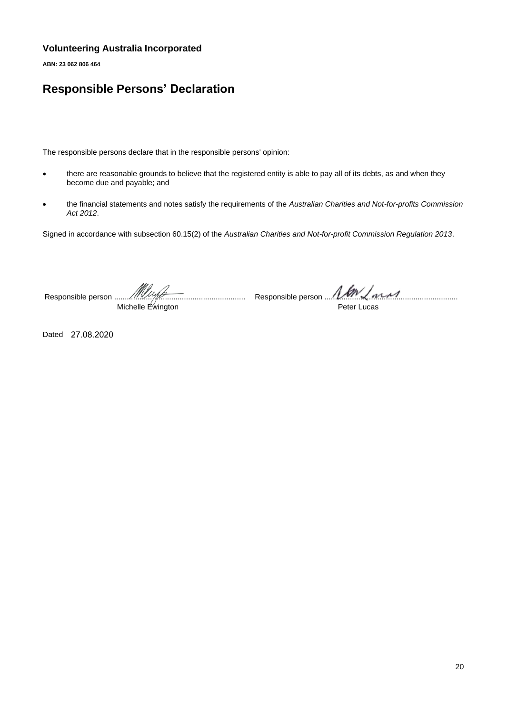**ABN: 23 062 806 464**

# **Responsible Persons' Declaration**

The responsible persons declare that in the responsible persons' opinion:

- there are reasonable grounds to believe that the registered entity is able to pay all of its debts, as and when they become due and payable; and
- the financial statements and notes satisfy the requirements of the *Australian Charities and Not-for-profits Commission Act 2012*.

Signed in accordance with subsection 60.15(2) of the *Australian Charities and Not-for-profit Commission Regulation 2013*.

Responsible person .............................................................. Michelle Ewington

Responsible person ...............................................................

Peter Lucas

Dated 27.08.2020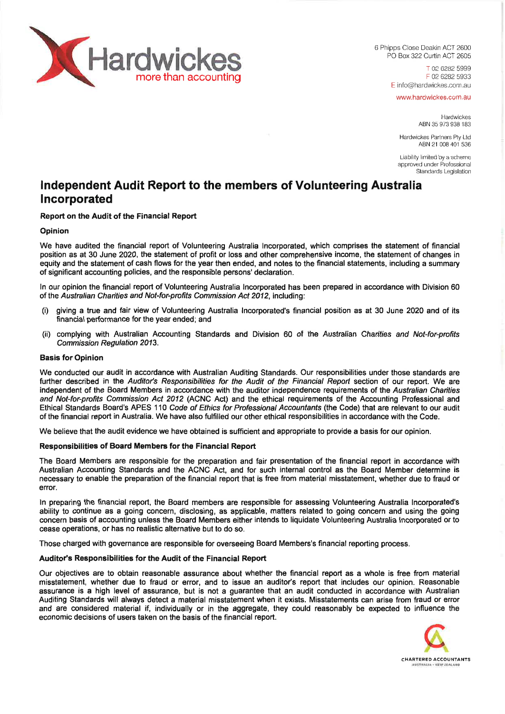

6 Phipps Close Deakin ACT 2600 PO Box 322 Curtin ACT 2605

> T 02 6282 5999 F 02 6282 5933 E info@hardwickes.com au

www.hardwickes.com.au

Hardwickes ABN 35 973 938 183

Hardwickes Partners Ply Ltd ABN 21 008 401 536

Liability limited by a scheme approved under Professional Standards Legislation

# **Independent Audit Report to the members of Volunteering Australia Incorporated**

#### **Report on the Audit of the Financial Report**

#### **Opinion**

We have audited the financial report of Volunteering Australia Incorporated, which comprises the statement of financial position as at 30 June 2020, the statement of profit or loss and other comprehensive income, the statement of changes in equity and the statement of cash flows for the year then ended, and notes to the financial statements, including a summary of significant accounting policies, and the responsible persons' declaration.

In our opinion the financial report of Volunteering Australia Incorporated has been prepared in accordance with Division 60 of the *Australian Chanties and Not-for-profits Commission Act 2012,* including:

- (i) giving a true and fair view of Volunteering Australia Incorporated's financial position as at 30 June 2020 and of its financial performance for the year ended; and
- (ii) complying with Australian Accounting Standards and Division 60 of the *Australian Charities and Not-for-profits Commission Regulation 2013.*

#### **Basis for Opinion**

We conducted our audit in accordance with Australian Auditing Standards. Our responsibilities under those standards are further described in the *Auditor's Responsibilities for the Audit of the Financial Report* section of our report. We are independent of the Board Members in accordance with the auditor independence requirements of the *Australian Charities and Not-for-profits Commission Act 2012* (ACNC Act) and the ethical requirements of the Accounting Professional and Ethical Standards Board's APES 110 *Code ofEthics for Professional Accountants* (the Code) that are relevant to our audit of the financial report in Australia. We have also fulfilled our other ethical responsibilities in accordance with the Code.

We believe that the audit evidence we have obtained is sufficient and appropriate to provide a basis for our opinion.

#### **Responsibilities of Board Members for the Financial Report**

The Board Members are responsible for the preparation and fair presentation of the financial report in accordance with Australian Accounting Standards and the ACNC Act, and for such internal control as the Board Member determine is necessary to enable the preparation of the financial report that is free from material misstatement, whether due to fraud or error.

In preparing the financial report, the Board members are responsible for assessing Volunteering Australia Incorporated's ability to continue as a going concern, disclosing, as applicable, matters related to going concern and using the going concern basis of accounting unless the Board Members either intends to liquidate Volunteering Australia Incorporated or to cease operations, or has no realistic alternative but to do so.

Those charged with governance are responsible for overseeing Board Members's financial reporting process.

#### **Auditor's Responsibilities for the Audit of the Financial Report**

Our objectives are to obtain reasonable assurance about whether the financial report as a whole is free from material misstatement, whether due to fraud or error, and to issue an auditor's report that includes our opinion. Reasonable assurance is a high level of assurance, but is not a guarantee that an audit conducted in accordance with Australian Auditing Standards will always detect a material misstatement when it exists. Misstatements can arise from fraud or error and are considered material if, individually or in the aggregate, they could reasonably be expected to influence the economic decisions of users taken on the basis of the financial report.